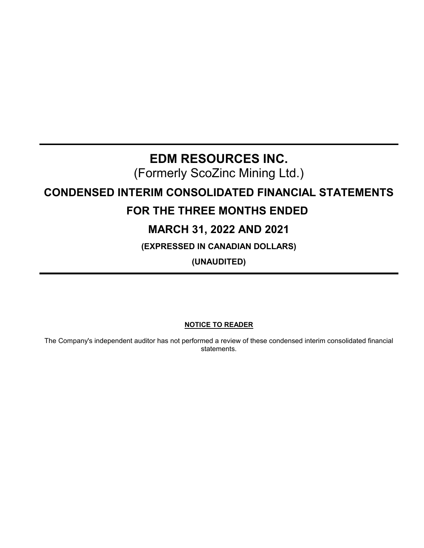# **EDM RESOURCES INC.**

(Formerly ScoZinc Mining Ltd.)

# **CONDENSED INTERIM CONSOLIDATED FINANCIAL STATEMENTS**

# **FOR THE THREE MONTHS ENDED**

# **MARCH 31, 2022 AND 2021**

**(EXPRESSED IN CANADIAN DOLLARS)**

**(UNAUDITED)**

# **NOTICE TO READER**

The Company's independent auditor has not performed a review of these condensed interim consolidated financial statements.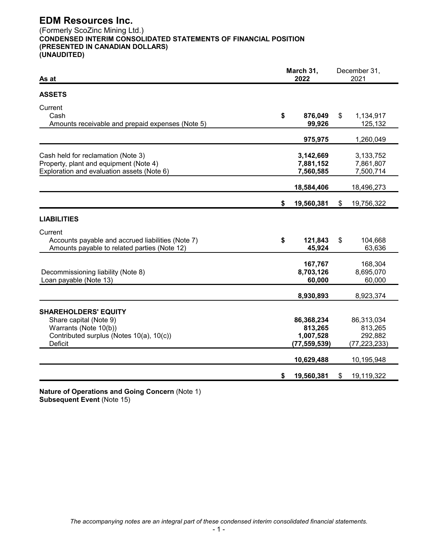# **EDM Resources Inc.** (Formerly ScoZinc Mining Ltd.) **CONDENSED INTERIM CONSOLIDATED STATEMENTS OF FINANCIAL POSITION (PRESENTED IN CANADIAN DOLLARS) (UNAUDITED)**

| As at                                                                                                                                 |    | March 31,<br>2022                                    | December 31,<br>2021 |                                                    |
|---------------------------------------------------------------------------------------------------------------------------------------|----|------------------------------------------------------|----------------------|----------------------------------------------------|
| <b>ASSETS</b>                                                                                                                         |    |                                                      |                      |                                                    |
| Current<br>Cash<br>Amounts receivable and prepaid expenses (Note 5)                                                                   | \$ | 876,049<br>99,926                                    | \$                   | 1,134,917<br>125,132                               |
|                                                                                                                                       |    | 975,975                                              |                      | 1,260,049                                          |
| Cash held for reclamation (Note 3)<br>Property, plant and equipment (Note 4)<br>Exploration and evaluation assets (Note 6)            |    | 3,142,669<br>7,881,152<br>7,560,585                  |                      | 3,133,752<br>7,861,807<br>7,500,714                |
|                                                                                                                                       |    | 18,584,406                                           |                      | 18,496,273                                         |
|                                                                                                                                       | \$ | 19,560,381                                           | \$                   | 19,756,322                                         |
| <b>LIABILITIES</b>                                                                                                                    |    |                                                      |                      |                                                    |
| Current<br>Accounts payable and accrued liabilities (Note 7)<br>Amounts payable to related parties (Note 12)                          | \$ | 121,843<br>45,924                                    | \$                   | 104,668<br>63,636                                  |
| Decommissioning liability (Note 8)<br>Loan payable (Note 13)                                                                          |    | 167,767<br>8,703,126<br>60,000                       |                      | 168,304<br>8,695,070<br>60,000                     |
|                                                                                                                                       |    | 8,930,893                                            |                      | 8,923,374                                          |
| <b>SHAREHOLDERS' EQUITY</b><br>Share capital (Note 9)<br>Warrants (Note 10(b))<br>Contributed surplus (Notes 10(a), 10(c))<br>Deficit |    | 86,368,234<br>813,265<br>1,007,528<br>(77, 559, 539) |                      | 86,313,034<br>813,265<br>292,882<br>(77, 223, 233) |
|                                                                                                                                       |    | 10,629,488                                           |                      | 10,195,948                                         |
|                                                                                                                                       | \$ | 19,560,381                                           | \$                   | 19,119,322                                         |

**Nature of Operations and Going Concern** (Note 1) **Subsequent Event** (Note 15)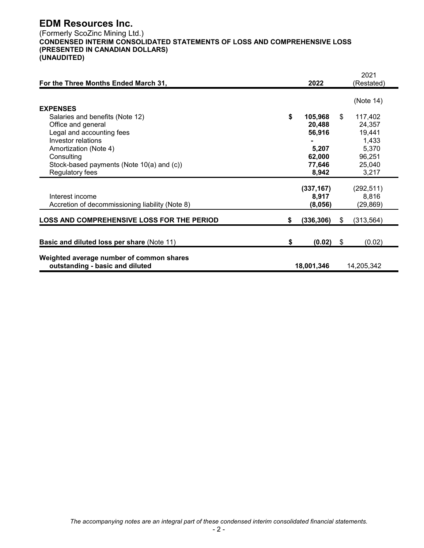# **EDM Resources Inc.**

(Formerly ScoZinc Mining Ltd.) **CONDENSED INTERIM CONSOLIDATED STATEMENTS OF LOSS AND COMPREHENSIVE LOSS (PRESENTED IN CANADIAN DOLLARS) (UNAUDITED)**

| For the Three Months Ended March 31,              |    | 2022       | 2021<br>(Restated) |
|---------------------------------------------------|----|------------|--------------------|
|                                                   |    |            |                    |
|                                                   |    |            | (Note 14)          |
| <b>EXPENSES</b>                                   |    |            |                    |
| Salaries and benefits (Note 12)                   | \$ | 105,968    | \$<br>117,402      |
| Office and general                                |    | 20,488     | 24,357             |
| Legal and accounting fees                         |    | 56,916     | 19,441             |
| Investor relations                                |    |            | 1,433              |
| Amortization (Note 4)                             |    | 5,207      | 5,370              |
| Consulting                                        |    | 62,000     | 96,251             |
| Stock-based payments (Note 10(a) and (c))         |    | 77,646     | 25,040             |
| Regulatory fees                                   |    | 8,942      | 3,217              |
|                                                   |    | (337, 167) | (292, 511)         |
| Interest income                                   |    | 8,917      | 8,816              |
| Accretion of decommissioning liability (Note 8)   |    | (8,056)    | (29, 869)          |
|                                                   |    |            |                    |
| <b>LOSS AND COMPREHENSIVE LOSS FOR THE PERIOD</b> | S. | (336, 306) | \$<br>(313, 564)   |
|                                                   |    |            |                    |
| <b>Basic and diluted loss per share (Note 11)</b> | \$ | (0.02)     | \$<br>(0.02)       |
|                                                   |    |            |                    |
| Weighted average number of common shares          |    |            |                    |
| outstanding - basic and diluted                   |    | 18,001,346 | 14,205,342         |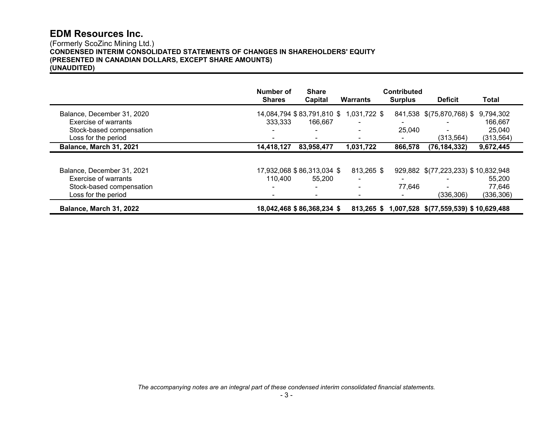# **EDM Resources Inc.**

# (Formerly ScoZinc Mining Ltd.) **CONDENSED INTERIM CONSOLIDATED STATEMENTS OF CHANGES IN SHAREHOLDERS' EQUITY (PRESENTED IN CANADIAN DOLLARS, EXCEPT SHARE AMOUNTS) (UNAUDITED)**

|                                                 | Number of<br><b>Shares</b> | <b>Share</b><br>Capital    | <b>Warrants</b>          | <b>Contributed</b><br><b>Surplus</b> | <b>Deficit</b>                                   | Total                |
|-------------------------------------------------|----------------------------|----------------------------|--------------------------|--------------------------------------|--------------------------------------------------|----------------------|
| Balance, December 31, 2020                      |                            | 14,084,794 \$83,791,810 \$ | 1,031,722 \$             |                                      | 841,538 \$(75,870,768) \$                        | 9,794,302            |
| Exercise of warrants                            | 333.333                    | 166,667                    |                          |                                      |                                                  | 166,667              |
| Stock-based compensation                        |                            |                            |                          | 25,040                               |                                                  | 25,040               |
| Loss for the period                             |                            |                            |                          |                                      | (313,564)                                        | (313, 564)           |
| Balance, March 31, 2021                         | 14,418,127                 | 83,958,477                 | 1,031,722                | 866,578                              | (76, 184, 332)                                   | 9,672,445            |
| Balance, December 31, 2021                      |                            | 17,932,068 \$86,313,034 \$ | 813,265 \$               |                                      | 929,882 \$(77,223,233) \$10,832,948              |                      |
| Exercise of warrants                            | 110,400                    | 55,200                     |                          |                                      |                                                  | 55.200               |
| Stock-based compensation<br>Loss for the period | $\blacksquare$             | $\sim$                     | $\overline{\phantom{0}}$ | 77,646                               | (336, 306)                                       | 77,646<br>(336, 306) |
| Balance, March 31, 2022                         |                            | 18,042,468 \$86,368,234 \$ |                          |                                      | 813,265 \$ 1,007,528 \$(77,559,539) \$10,629,488 |                      |

*The accompanying notes are an integral part of these condensed interim consolidated financial statements.*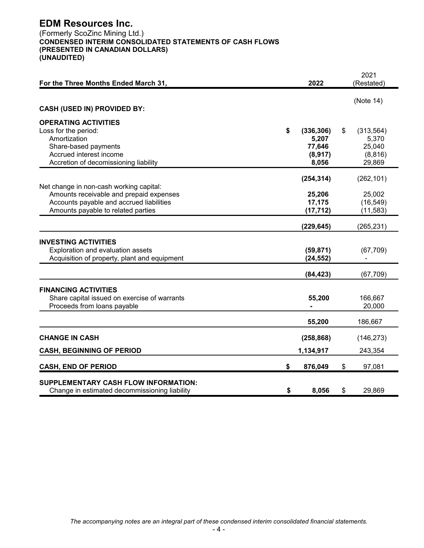# **EDM Resources Inc.**

(Formerly ScoZinc Mining Ltd.) **CONDENSED INTERIM CONSOLIDATED STATEMENTS OF CASH FLOWS (PRESENTED IN CANADIAN DOLLARS) (UNAUDITED)**

| For the Three Months Ended March 31,                                                                                                                                 | 2022                                                     | 2021<br>(Restated)                                        |
|----------------------------------------------------------------------------------------------------------------------------------------------------------------------|----------------------------------------------------------|-----------------------------------------------------------|
|                                                                                                                                                                      |                                                          | (Note 14)                                                 |
| <b>CASH (USED IN) PROVIDED BY:</b>                                                                                                                                   |                                                          |                                                           |
| <b>OPERATING ACTIVITIES</b><br>Loss for the period:<br>Amortization<br>Share-based payments<br>Accrued interest income<br>Accretion of decomissioning liability      | \$<br>(336, 306)<br>5,207<br>77,646<br>(8, 917)<br>8,056 | \$<br>(313, 564)<br>5,370<br>25,040<br>(8, 816)<br>29,869 |
|                                                                                                                                                                      | (254, 314)                                               | (262, 101)                                                |
| Net change in non-cash working capital:<br>Amounts receivable and prepaid expenses<br>Accounts payable and accrued liabilities<br>Amounts payable to related parties | 25,206<br>17,175<br>(17, 712)                            | 25,002<br>(16, 549)<br>(11, 583)                          |
|                                                                                                                                                                      | (229, 645)                                               | (265, 231)                                                |
| <b>INVESTING ACTIVITIES</b><br>Exploration and evaluation assets<br>Acquisition of property, plant and equipment                                                     | (59, 871)<br>(24, 552)                                   | (67, 709)                                                 |
|                                                                                                                                                                      | (84, 423)                                                | (67, 709)                                                 |
| <b>FINANCING ACTIVITIES</b><br>Share capital issued on exercise of warrants<br>Proceeds from loans payable                                                           | 55,200                                                   | 166,667<br>20,000                                         |
|                                                                                                                                                                      | 55,200                                                   | 186,667                                                   |
| <b>CHANGE IN CASH</b>                                                                                                                                                | (258, 868)                                               | (146, 273)                                                |
| <b>CASH, BEGINNING OF PERIOD</b>                                                                                                                                     | 1,134,917                                                | 243,354                                                   |
| <b>CASH, END OF PERIOD</b>                                                                                                                                           | \$<br>876,049                                            | \$<br>97,081                                              |
| <b>SUPPLEMENTARY CASH FLOW INFORMATION:</b><br>Change in estimated decommissioning liability                                                                         | \$<br>8,056                                              | \$<br>29,869                                              |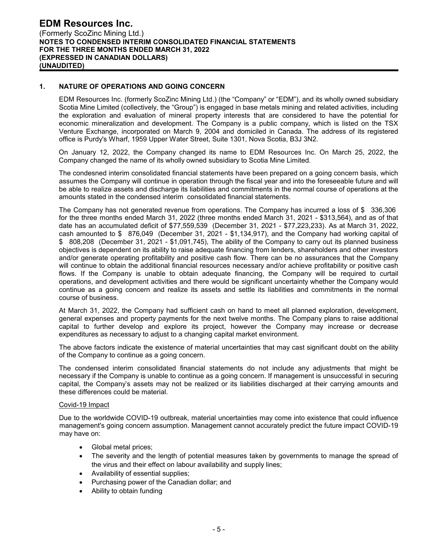# **1. NATURE OF OPERATIONS AND GOING CONCERN**

EDM Resources Inc. (formerly ScoZinc Mining Ltd.) (the "Company" or "EDM"), and its wholly owned subsidiary Scotia Mine Limited (collectively, the "Group") is engaged in base metals mining and related activities, including the exploration and evaluation of mineral property interests that are considered to have the potential for economic mineralization and development. The Company is a public company, which is listed on the TSX Venture Exchange, incorporated on March 9, 2004 and domiciled in Canada. The address of its registered office is Purdy's Wharf, 1959 Upper Water Street, Suite 1301, Nova Scotia, B3J 3N2.

On January 12, 2022, the Company changed its name to EDM Resources Inc. On March 25, 2022, the Company changed the name of its wholly owned subsidiary to Scotia Mine Limited.

The condesned interim consolidated financial statements have been prepared on a going concern basis, which assumes the Company will continue in operation through the fiscal year and into the foreseeable future and will be able to realize assets and discharge its liabilities and commitments in the normal course of operations at the amounts stated in the condensed interim consolidated financial statements.

The Company has not generated revenue from operations. The Company has incurred a loss of \$ 336,306 for the three months ended March 31, 2022 (three months ended March 31, 2021 - \$313,564), and as of that date has an accumulated deficit of \$77,559,539 (December 31, 2021 - \$77,223,233). As at March 31, 2022, cash amounted to \$ 876,049 (December 31, 2021 - \$1,134,917), and the Company had working capital of \$ 808,208 (December 31, 2021 - \$1,091,745), The ability of the Company to carry out its planned business objectives is dependent on its ability to raise adequate financing from lenders, shareholders and other investors and/or generate operating profitability and positive cash flow. There can be no assurances that the Company will continue to obtain the additional financial resources necessary and/or achieve profitability or positive cash flows. If the Company is unable to obtain adequate financing, the Company will be required to curtail operations, and development activities and there would be significant uncertainty whether the Company would continue as a going concern and realize its assets and settle its liabilities and commitments in the normal course of business.

At March 31, 2022, the Company had sufficient cash on hand to meet all planned exploration, development, general expenses and property payments for the next twelve months. The Company plans to raise additional capital to further develop and explore its project, however the Company may increase or decrease expenditures as necessary to adjust to a changing capital market environment.

The above factors indicate the existence of material uncertainties that may cast significant doubt on the ability of the Company to continue as a going concern.

The condensed interim consolidated financial statements do not include any adjustments that might be necessary if the Company is unable to continue as a going concern. If management is unsuccessful in securing capital, the Company's assets may not be realized or its liabilities discharged at their carrying amounts and these differences could be material.

#### Covid-19 Impact

Due to the worldwide COVID-19 outbreak, material uncertainties may come into existence that could influence management's going concern assumption. Management cannot accurately predict the future impact COVID-19 may have on:

- Global metal prices;
- The severity and the length of potential measures taken by governments to manage the spread of the virus and their effect on labour availability and supply lines;
- Availability of essential supplies;
- Purchasing power of the Canadian dollar; and
- Ability to obtain funding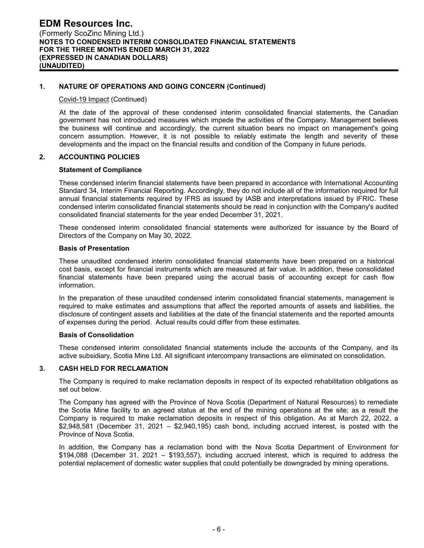# **1. NATURE OF OPERATIONS AND GOING CONCERN (Continued)**

#### Covid-19 Impact (Continued)

At the date of the approval of these condensed interim consolidated financial statements, the Canadian government has not introduced measures which impede the activities of the Company. Management believes the business will continue and accordingly, the current situation bears no impact on management's going concern assumption. However, it is not possible to reliably estimate the length and severity of these developments and the impact on the financial results and condition of the Company in future periods.

# **2. ACCOUNTING POLICIES**

#### **Statement of Compliance**

These condensed interim financial statements have been prepared in accordance with International Accounting Standard 34, Interim Financial Reporting. Accordingly, they do not include all of the information required for full annual financial statements required by IFRS as issued by IASB and interpretations issued by IFRIC. These condensed interim consolidated financial statements should be read in conjunction with the Company's audited consolidated financial statements for the year ended December 31, 2021.

These condensed interim consolidated financial statements were authorized for issuance by the Board of Directors of the Company on May 30, 2022.

#### **Basis of Presentation**

These unaudited condensed interim consolidated financial statements have been prepared on a historical cost basis, except for financial instruments which are measured at fair value. In addition, these consolidated financial statements have been prepared using the accrual basis of accounting except for cash flow information.

In the preparation of these unaudited condensed interim consolidated financial statements, management is required to make estimates and assumptions that affect the reported amounts of assets and liabilities, the disclosure of contingent assets and liabilities at the date of the financial statements and the reported amounts of expenses during the period. Actual results could differ from these estimates.

#### **Basis of Consolidation**

These condensed interim consolidated financial statements include the accounts of the Company, and its active subsidiary, Scotia Mine Ltd. All significant intercompany transactions are eliminated on consolidation.

#### **3. CASH HELD FOR RECLAMATION**

The Company is required to make reclamation deposits in respect of its expected rehabilitation obligations as set out below.

The Company has agreed with the Province of Nova Scotia (Department of Natural Resources) to remediate the Scotia Mine facility to an agreed status at the end of the mining operations at the site; as a result the Company is required to make reclamation deposits in respect of this obligation. As at March 22, 2022, a \$2,948,581 (December 31, 2021 – \$2,940,195) cash bond, including accrued interest, is posted with the Province of Nova Scotia.

In addition, the Company has a reclamation bond with the Nova Scotia Department of Environment for \$194,088 (December 31, 2021 – \$193,557), including accrued interest, which is required to address the potential replacement of domestic water supplies that could potentially be downgraded by mining operations.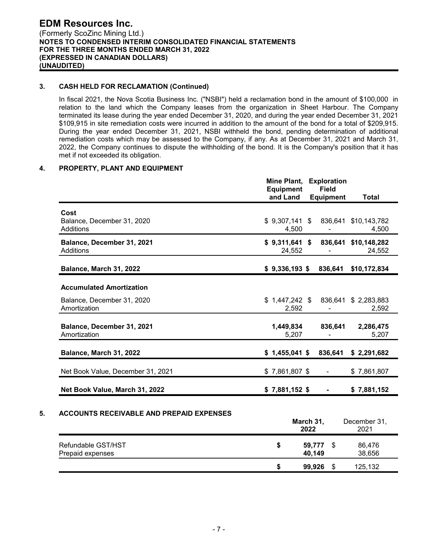### **3. CASH HELD FOR RECLAMATION (Continued)**

In fiscal 2021, the Nova Scotia Business Inc. ("NSBI") held a reclamation bond in the amount of \$100,000 in relation to the land which the Company leases from the organization in Sheet Harbour. The Company terminated its lease during the year ended December 31, 2020, and during the year ended December 31, 2021 \$109,915 in site remediation costs were incurred in addition to the amount of the bond for a total of \$209,915. During the year ended December 31, 2021, NSBI withheld the bond, pending determination of additional remediation costs which may be assessed to the Company, if any. As at December 31, 2021 and March 31, 2022, the Company continues to dispute the withholding of the bond. It is the Company's position that it has met if not exceeded its obligation.

# **4. PROPERTY, PLANT AND EQUIPMENT**

|                                                 | Mine Plant,<br><b>Equipment</b> | <b>Exploration</b><br><b>Field</b> |                                |
|-------------------------------------------------|---------------------------------|------------------------------------|--------------------------------|
|                                                 | and Land                        | <b>Equipment</b>                   | Total                          |
| Cost<br>Balance, December 31, 2020<br>Additions | $$9,307,141$ \$<br>4,500        |                                    | 836,641 \$10,143,782<br>4,500  |
| Balance, December 31, 2021<br>Additions         | $$9,311,641$ \$<br>24,552       |                                    | 836,641 \$10,148,282<br>24,552 |
| Balance, March 31, 2022                         | $$9,336,193$ \$                 | 836,641                            | \$10,172,834                   |
| <b>Accumulated Amortization</b>                 |                                 |                                    |                                |
| Balance, December 31, 2020<br>Amortization      | \$1,447,242 \$<br>2,592         |                                    | 836,641 \$ 2,283,883<br>2,592  |
| Balance, December 31, 2021<br>Amortization      | 1,449,834<br>5,207              | 836,641                            | 2,286,475<br>5,207             |
| Balance, March 31, 2022                         | $$1,455,041$ \$                 | 836,641                            | \$2,291,682                    |
| Net Book Value, December 31, 2021               | $$7,861,807$ \$                 |                                    | \$7,861,807                    |
| Net Book Value, March 31, 2022                  | $$7,881,152$ \$                 |                                    | \$7,881,152                    |
|                                                 |                                 |                                    |                                |

#### **5. ACCOUNTS RECEIVABLE AND PREPAID EXPENSES**

|                                        |   | March 31,<br>2022 | December 31,<br>2021 |
|----------------------------------------|---|-------------------|----------------------|
| Refundable GST/HST<br>Prepaid expenses | S | 59,777<br>40,149  | 86,476<br>38,656     |
|                                        | S | 99,926            | 125,132              |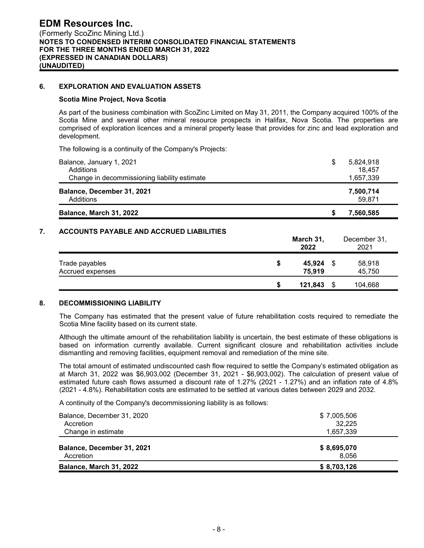### **6. EXPLORATION AND EVALUATION ASSETS**

#### **Scotia Mine Project, Nova Scotia**

As part of the business combination with ScoZinc Limited on May 31, 2011, the Company acquired 100% of the Scotia Mine and several other mineral resource prospects in Halifax, Nova Scotia. The properties are comprised of exploration licences and a mineral property lease that provides for zinc and lead exploration and development.

The following is a continuity of the Company's Projects:

| Balance, January 1, 2021<br>Additions        | S | 5,824,918<br>18,457 |
|----------------------------------------------|---|---------------------|
| Change in decommissioning liability estimate |   | 1,657,339           |
| Balance, December 31, 2021<br>Additions      |   | 7,500,714<br>59.871 |
| Balance, March 31, 2022                      |   | 7,560,585           |

# **7. ACCOUNTS PAYABLE AND ACCRUED LIABILITIES**

|                  |   | March 31,<br>2022 | December 31,<br>2021 |
|------------------|---|-------------------|----------------------|
| Trade payables   | S | 45,924            | 58,918               |
| Accrued expenses |   | 75,919            | 45,750               |
|                  | S | 121,843           | 104,668              |

#### **8. DECOMMISSIONING LIABILITY**

The Company has estimated that the present value of future rehabilitation costs required to remediate the Scotia Mine facility based on its current state.

Although the ultimate amount of the rehabilitation liability is uncertain, the best estimate of these obligations is based on information currently available. Current significant closure and rehabilitation activities include dismantling and removing facilities, equipment removal and remediation of the mine site.

The total amount of estimated undiscounted cash flow required to settle the Company's estimated obligation as at March 31, 2022 was \$6,903,002 (December 31, 2021 - \$6,903,002). The calculation of present value of estimated future cash flows assumed a discount rate of 1.27% (2021 - 1.27%) and an inflation rate of 4.8% (2021 - 4.8%). Rehabilitation costs are estimated to be settled at various dates between 2029 and 2032.

A continuity of the Company's decommissioning liability is as follows:

| <b>Balance, March 31, 2022</b> | \$8,703,126 |
|--------------------------------|-------------|
| Accretion                      | 8.056       |
| Balance, December 31, 2021     | \$8,695,070 |
| Change in estimate             | 1,657,339   |
| Accretion                      | 32,225      |
| Balance, December 31, 2020     | \$7,005,506 |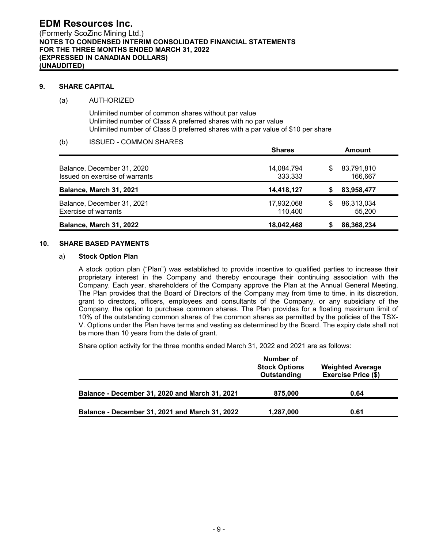### **9. SHARE CAPITAL**

#### (a) AUTHORIZED

Unlimited number of common shares without par value Unlimited number of Class A preferred shares with no par value Unlimited number of Class B preferred shares with a par value of \$10 per share

# (b) ISSUED - COMMON SHARES

|                                                              | <b>Shares</b>         |    | Amount                |  |  |
|--------------------------------------------------------------|-----------------------|----|-----------------------|--|--|
| Balance, December 31, 2020<br>Issued on exercise of warrants | 14,084,794<br>333,333 | \$ | 83,791,810<br>166,667 |  |  |
| Balance, March 31, 2021                                      | 14,418,127            |    | 83,958,477            |  |  |
| Balance, December 31, 2021<br>Exercise of warrants           | 17,932,068<br>110.400 | S  | 86,313,034<br>55,200  |  |  |
| Balance, March 31, 2022                                      | 18,042,468            |    | 86,368,234            |  |  |

# **10. SHARE BASED PAYMENTS**

#### a) **Stock Option Plan**

A stock option plan ("Plan") was established to provide incentive to qualified parties to increase their proprietary interest in the Company and thereby encourage their continuing association with the Company. Each year, shareholders of the Company approve the Plan at the Annual General Meeting. The Plan provides that the Board of Directors of the Company may from time to time, in its discretion, grant to directors, officers, employees and consultants of the Company, or any subsidiary of the Company, the option to purchase common shares. The Plan provides for a floating maximum limit of 10% of the outstanding common shares of the common shares as permitted by the policies of the TSX-V. Options under the Plan have terms and vesting as determined by the Board. The expiry date shall not be more than 10 years from the date of grant.

Share option activity for the three months ended March 31, 2022 and 2021 are as follows:

|                                                | Number of<br><b>Stock Options</b><br>Outstanding | <b>Weighted Average</b><br><b>Exercise Price (\$)</b> |
|------------------------------------------------|--------------------------------------------------|-------------------------------------------------------|
| Balance - December 31, 2020 and March 31, 2021 | 875,000                                          | 0.64                                                  |
| Balance - December 31, 2021 and March 31, 2022 | 1,287,000                                        | 0.61                                                  |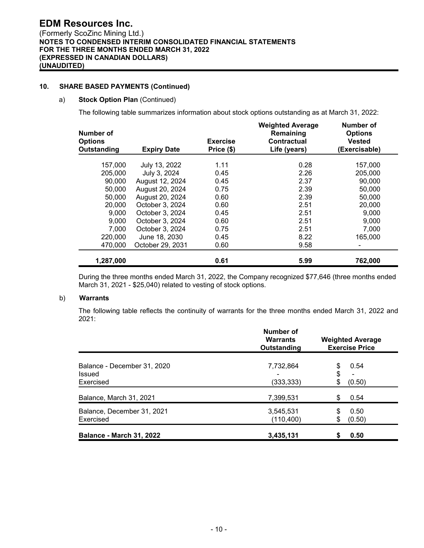# **10. SHARE BASED PAYMENTS (Continued)**

#### a) **Stock Option Plan** (Continued)

The following table summarizes information about stock options outstanding as at March 31, 2022:

| Number of<br><b>Options</b><br>Outstanding | <b>Expiry Date</b> | <b>Exercise</b><br>Price (\$) | <b>Weighted Average</b><br>Remaining<br>Contractual<br>Life (years) | Number of<br><b>Options</b><br><b>Vested</b><br>(Exercisable) |
|--------------------------------------------|--------------------|-------------------------------|---------------------------------------------------------------------|---------------------------------------------------------------|
| 157,000                                    | July 13, 2022      | 1.11                          | 0.28                                                                | 157,000                                                       |
| 205,000                                    | July 3, 2024       | 0.45                          | 2.26                                                                | 205,000                                                       |
| 90,000                                     | August 12, 2024    | 0.45                          | 2.37                                                                | 90,000                                                        |
| 50,000                                     | August 20, 2024    | 0.75                          | 2.39                                                                | 50,000                                                        |
| 50,000                                     | August 20, 2024    | 0.60                          | 2.39                                                                | 50,000                                                        |
| 20,000                                     | October 3, 2024    | 0.60                          | 2.51                                                                | 20,000                                                        |
| 9,000                                      | October 3, 2024    | 0.45                          | 2.51                                                                | 9.000                                                         |
| 9,000                                      | October 3, 2024    | 0.60                          | 2.51                                                                | 9,000                                                         |
| 7,000                                      | October 3, 2024    | 0.75                          | 2.51                                                                | 7,000                                                         |
| 220,000                                    | June 18, 2030      | 0.45                          | 8.22                                                                | 165,000                                                       |
| 470,000                                    | October 29, 2031   | 0.60                          | 9.58                                                                |                                                               |
| 1,287,000                                  |                    | 0.61                          | 5.99                                                                | 762,000                                                       |

During the three months ended March 31, 2022, the Company recognized \$77,646 (three months ended March 31, 2021 - \$25,040) related to vesting of stock options.

### b) **Warrants**

The following table reflects the continuity of warrants for the three months ended March 31, 2022 and 2021:

|                                                    | Number of<br><b>Warrants</b><br>Outstanding | <b>Weighted Average</b><br><b>Exercise Price</b> |  |  |
|----------------------------------------------------|---------------------------------------------|--------------------------------------------------|--|--|
| Balance - December 31, 2020<br>Issued<br>Exercised | 7,732,864<br>(333, 333)                     | 0.54<br>\$<br>\$<br>\$<br>(0.50)                 |  |  |
| Balance, March 31, 2021                            | 7,399,531                                   | 0.54<br>S                                        |  |  |
| Balance, December 31, 2021<br>Exercised            | 3,545,531<br>(110, 400)                     | 0.50<br>S<br>(0.50)<br>\$                        |  |  |
| <b>Balance - March 31, 2022</b>                    | 3,435,131                                   | 0.50<br>S                                        |  |  |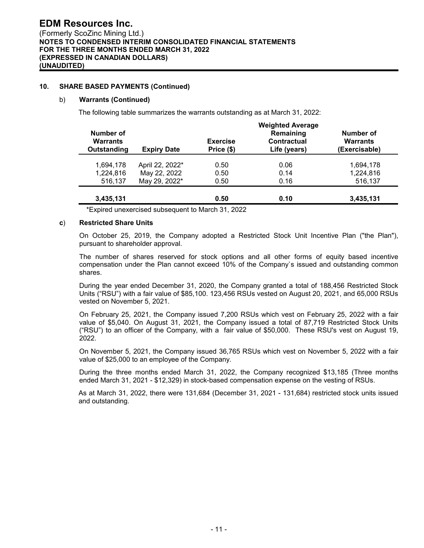# **10. SHARE BASED PAYMENTS (Continued)**

#### b) **Warrants (Continued)**

The following table summarizes the warrants outstanding as at March 31, 2022:

|                                             |                    | <b>Weighted Average</b>       |                                                 |                                               |  |  |  |
|---------------------------------------------|--------------------|-------------------------------|-------------------------------------------------|-----------------------------------------------|--|--|--|
| Number of<br><b>Warrants</b><br>Outstanding | <b>Expiry Date</b> | <b>Exercise</b><br>Price (\$) | Remaining<br><b>Contractual</b><br>Life (years) | Number of<br><b>Warrants</b><br>(Exercisable) |  |  |  |
| 1.694.178                                   | April 22, 2022*    | 0.50                          | 0.06                                            | 1,694,178                                     |  |  |  |
| 1,224,816                                   | May 22, 2022       | 0.50                          | 0.14                                            | 1,224,816                                     |  |  |  |
| 516,137                                     | May 29, 2022*      | 0.50                          | 0.16                                            | 516,137                                       |  |  |  |
| 3,435,131                                   |                    | 0.50                          | 0.10                                            | 3,435,131                                     |  |  |  |

\*Expired unexercised subsequent to March 31, 2022

#### **c**) **Restricted Share Units**

On October 25, 2019, the Company adopted a Restricted Stock Unit Incentive Plan ("the Plan"), pursuant to shareholder approval.

The number of shares reserved for stock options and all other forms of equity based incentive compensation under the Plan cannot exceed 10% of the Company`s issued and outstanding common shares.

During the year ended December 31, 2020, the Company granted a total of 188,456 Restricted Stock Units ("RSU") with a fair value of \$85,100. 123,456 RSUs vested on August 20, 2021, and 65,000 RSUs vested on November 5, 2021.

On February 25, 2021, the Company issued 7,200 RSUs which vest on February 25, 2022 with a fair value of \$5,040. On August 31, 2021, the Company issued a total of 87,719 Restricted Stock Units ("RSU") to an officer of the Company, with a fair value of \$50,000. These RSU's vest on August 19, 2022.

On November 5, 2021, the Company issued 36,765 RSUs which vest on November 5, 2022 with a fair value of \$25,000 to an employee of the Company.

During the three months ended March 31, 2022, the Company recognized \$13,185 (Three months ended March 31, 2021 - \$12,329) in stock-based compensation expense on the vesting of RSUs.

As at March 31, 2022, there were 131,684 (December 31, 2021 - 131,684) restricted stock units issued and outstanding.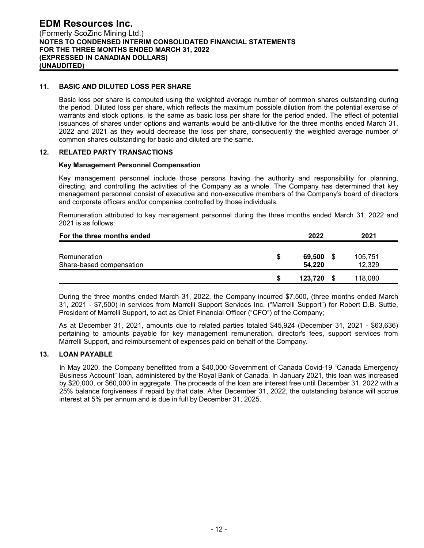#### **11. BASIC AND DILUTED LOSS PER SHARE**

Basic loss per share is computed using the weighted average number of common shares outstanding during the period. Diluted loss per share, which reflects the maximum possible dilution from the potential exercise of warrants and stock options, is the same as basic loss per share for the period ended. The effect of potential issuances of shares under options and warrants would be anti-dilutive for the three months ended March 31, 2022 and 2021 as they would decrease the loss per share, consequently the weighted average number of common shares outstanding for basic and diluted are the same.

# **12. RELATED PARTY TRANSACTIONS**

#### **Key Management Personnel Compensation**

Key management personnel include those persons having the authority and responsibility for planning, directing, and controlling the activities of the Company as a whole. The Company has determined that key management personnel consist of executive and non-executive members of the Company's board of directors and corporate officers and/or companies controlled by those individuals.

Remuneration attributed to key management personnel during the three months ended March 31, 2022 and 2021 is as follows:

| For the three months ended               |   | 2022             |   | 2021              |
|------------------------------------------|---|------------------|---|-------------------|
| Remuneration<br>Share-based compensation | S | 69,500<br>54.220 | S | 105,751<br>12,329 |
|                                          | S | 123.720          |   | 118,080           |

During the three months ended March 31, 2022, the Company incurred \$7,500, (three months ended March 31, 2021 - \$7,500) in services from Marrelli Support Services Inc. ("Marrelli Support") for Robert D.B. Suttie, President of Marrelli Support, to act as Chief Financial Officer ("CFO") of the Company;

As at December 31, 2021, amounts due to related parties totaled \$45,924 (December 31, 2021 - \$63,636) pertaining to amounts payable for key management remuneration, director's fees, support services from Marrelli Support, and reimbursement of expenses paid on behalf of the Company.

#### **13. LOAN PAYABLE**

In May 2020, the Company benefitted from a \$40,000 Government of Canada Covid-19 "Canada Emergency Business Account" loan, administered by the Royal Bank of Canada. In January 2021, this loan was increased by \$20,000, or \$60,000 in aggregate. The proceeds of the loan are interest free until December 31, 2022 with a 25% balance forgiveness if repaid by that date. After December 31, 2022, the outstanding balance will accrue interest at 5% per annum and is due in full by December 31, 2025.